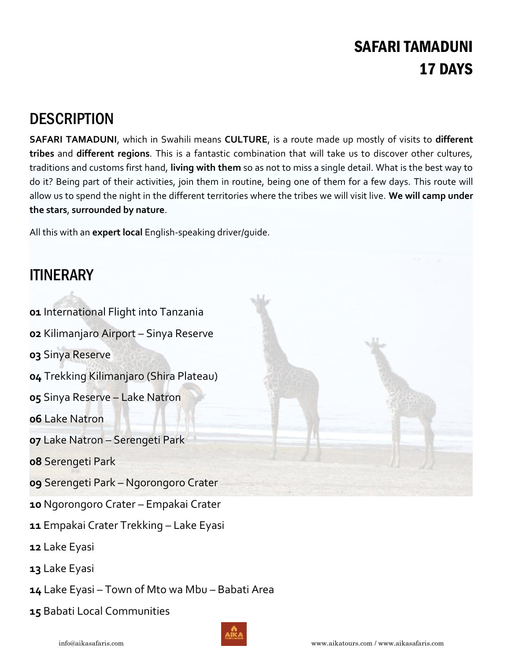## SAFARI TAMADUNI 17 DAYS

## **DESCRIPTION**

**SAFARI TAMADUNI**, which in Swahili means **CULTURE**, is a route made up mostly of visits to **different tribes** and **different regions**. This is a fantastic combination that will take us to discover other cultures, traditions and customs first hand, **living with them** so as not to miss a single detail. What is the best way to do it? Being part of their activities, join them in routine, being one of them for a few days. This route will allow us to spend the night in the different territories where the tribes we will visit live. **We will camp under the stars**, **surrounded by nature**.

All this with an **expert local** English-speaking driver/guide.

## **ITINERARY**

 International Flight into Tanzania Kilimanjaro Airport – Sinya Reserve Sinya Reserve Trekking Kilimanjaro (Shira Plateau) Sinya Reserve – Lake Natron Lake Natron Lake Natron – Serengeti Park Serengeti Park Serengeti Park – Ngorongoro Crater Ngorongoro Crater – Empakai Crater Empakai Crater Trekking – Lake Eyasi Lake Eyasi Lake Eyasi

**14** Lake Eyasi – Town of Mto wa Mbu – Babati Area

**15** Babati Local Communities

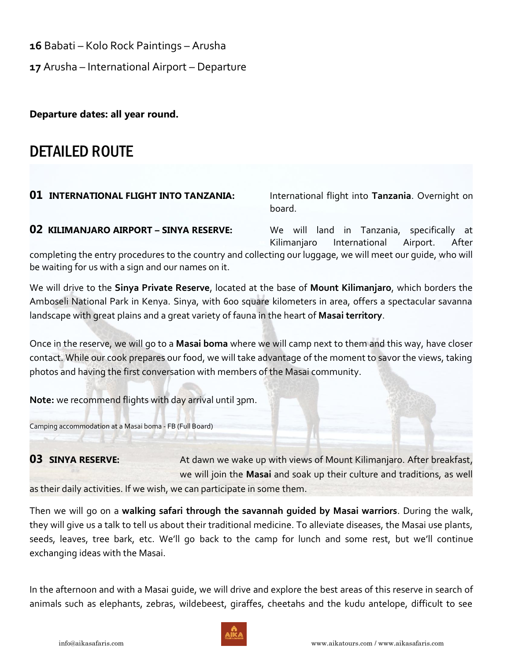**16** Babati – Kolo Rock Paintings – Arusha

**17** Arusha – International Airport – Departure

**Departure dates: all year round.** 

## DETAILED ROUTE

**01 INTERNATIONAL FLIGHT INTO TANZANIA:** International flight into **Tanzania**. Overnight on board.

**02 KILIMANJARO AIRPORT – SINYA RESERVE:** We will land in Tanzania, specifically at Kilimanjaro International Airport. After

completing the entry procedures to the country and collecting our luggage, we will meet our guide, who will be waiting for us with a sign and our names on it.

We will drive to the **Sinya Private Reserve**, located at the base of **Mount Kilimanjaro**, which borders the Amboseli National Park in Kenya. Sinya, with 600 square kilometers in area, offers a spectacular savanna landscape with great plains and a great variety of fauna in the heart of **Masai territory**.

Once in the reserve, we will go to a **Masai boma** where we will camp next to them and this way, have closer contact. While our cook prepares our food, we will take advantage of the moment to savor the views, taking photos and having the first conversation with members of the Masai community.

**Note:** we recommend flights with day arrival until 3pm.

Camping accommodation at a Masai boma - FB (Full Board)

**03 SINYA RESERVE:** At dawn we wake up with views of Mount Kilimanjaro. After breakfast, we will join the **Masai** and soak up their culture and traditions, as well as their daily activities. If we wish, we can participate in some them.

Then we will go on a **walking safari through the savannah guided by Masai warriors**. During the walk, they will give us a talk to tell us about their traditional medicine. To alleviate diseases, the Masai use plants, seeds, leaves, tree bark, etc. We'll go back to the camp for lunch and some rest, but we'll continue exchanging ideas with the Masai.

In the afternoon and with a Masai guide, we will drive and explore the best areas of this reserve in search of animals such as elephants, zebras, wildebeest, giraffes, cheetahs and the kudu antelope, difficult to see

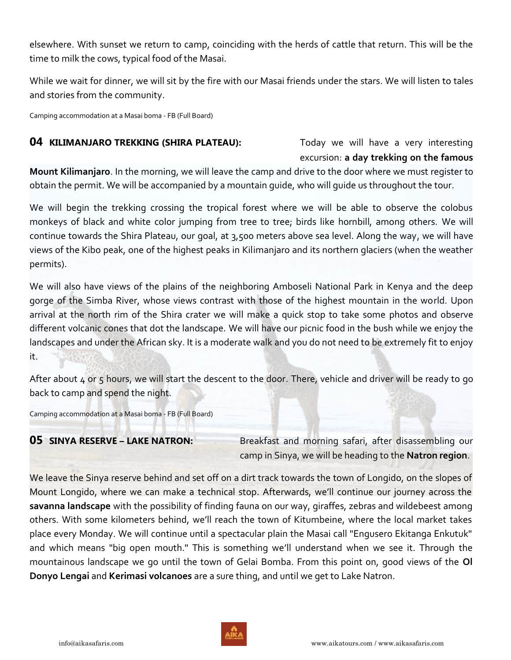elsewhere. With sunset we return to camp, coinciding with the herds of cattle that return. This will be the time to milk the cows, typical food of the Masai.

While we wait for dinner, we will sit by the fire with our Masai friends under the stars. We will listen to tales and stories from the community.

Camping accommodation at a Masai boma - FB (Full Board)

### **04 KILIMANJARO TREKKING (SHIRA PLATEAU):** Today we will have a very interesting

# excursion: **a day trekking on the famous**

**Mount Kilimanjaro**. In the morning, we will leave the camp and drive to the door where we must register to obtain the permit. We will be accompanied by a mountain guide, who will guide us throughout the tour.

We will begin the trekking crossing the tropical forest where we will be able to observe the colobus monkeys of black and white color jumping from tree to tree; birds like hornbill, among others. We will continue towards the Shira Plateau, our goal, at 3,500 meters above sea level. Along the way, we will have views of the Kibo peak, one of the highest peaks in Kilimanjaro and its northern glaciers (when the weather permits).

We will also have views of the plains of the neighboring Amboseli National Park in Kenya and the deep gorge of the Simba River, whose views contrast with those of the highest mountain in the world. Upon arrival at the north rim of the Shira crater we will make a quick stop to take some photos and observe different volcanic cones that dot the landscape. We will have our picnic food in the bush while we enjoy the landscapes and under the African sky. It is a moderate walk and you do not need to be extremely fit to enjoy it.

After about 4 or 5 hours, we will start the descent to the door. There, vehicle and driver will be ready to go back to camp and spend the night.

Camping accommodation at a Masai boma - FB (Full Board)

**05 SINYA RESERVE – LAKE NATRON:** Breakfast and morning safari, after disassembling our camp in Sinya, we will be heading to the **Natron region**.

We leave the Sinya reserve behind and set off on a dirt track towards the town of Longido, on the slopes of Mount Longido, where we can make a technical stop. Afterwards, we'll continue our journey across the **savanna landscape** with the possibility of finding fauna on our way, giraffes, zebras and wildebeest among others. With some kilometers behind, we'll reach the town of Kitumbeine, where the local market takes place every Monday. We will continue until a spectacular plain the Masai call "Engusero Ekitanga Enkutuk" and which means "big open mouth." This is something we'll understand when we see it. Through the mountainous landscape we go until the town of Gelai Bomba. From this point on, good views of the **Ol Donyo Lengai** and **Kerimasi volcanoes** are a sure thing, and until we get to Lake Natron.

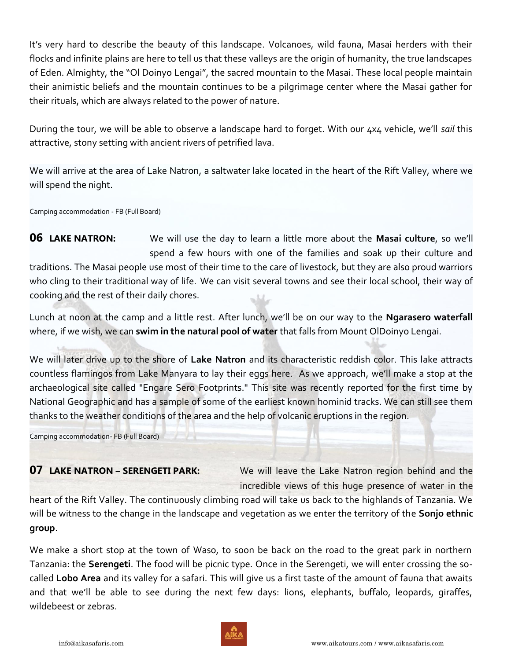It's very hard to describe the beauty of this landscape. Volcanoes, wild fauna, Masai herders with their flocks and infinite plains are here to tell us that these valleys are the origin of humanity, the true landscapes of Eden. Almighty, the "Ol Doinyo Lengai", the sacred mountain to the Masai. These local people maintain their animistic beliefs and the mountain continues to be a pilgrimage center where the Masai gather for their rituals, which are always related to the power of nature.

During the tour, we will be able to observe a landscape hard to forget. With our 4x4 vehicle, we'll *sail* this attractive, stony setting with ancient rivers of petrified lava.

We will arrive at the area of Lake Natron, a saltwater lake located in the heart of the Rift Valley, where we will spend the night.

Camping accommodation - FB (Full Board)

**06 LAKE NATRON:** We will use the day to learn a little more about the **Masai culture**, so we'll spend a few hours with one of the families and soak up their culture and traditions. The Masai people use most of their time to the care of livestock, but they are also proud warriors who cling to their traditional way of life. We can visit several towns and see their local school, their way of cooking and the rest of their daily chores.

Lunch at noon at the camp and a little rest. After lunch, we'll be on our way to the **Ngarasero waterfall** where, if we wish, we can **swim in the natural pool of water** that falls from Mount OlDoinyo Lengai.

We will later drive up to the shore of **Lake Natron** and its characteristic reddish color. This lake attracts countless flamingos from Lake Manyara to lay their eggs here. As we approach, we'll make a stop at the archaeological site called "Engare Sero Footprints." This site was recently reported for the first time by National Geographic and has a sample of some of the earliest known hominid tracks. We can still see them thanks to the weather conditions of the area and the help of volcanic eruptions in the region.

Camping accommodation- FB (Full Board)

**07 LAKE NATRON - SERENGETI PARK:** We will leave the Lake Natron region behind and the incredible views of this huge presence of water in the

heart of the Rift Valley. The continuously climbing road will take us back to the highlands of Tanzania. We will be witness to the change in the landscape and vegetation as we enter the territory of the **Sonjo ethnic group**.

We make a short stop at the town of Waso, to soon be back on the road to the great park in northern Tanzania: the **Serengeti**. The food will be picnic type. Once in the Serengeti, we will enter crossing the socalled **Lobo Area** and its valley for a safari. This will give us a first taste of the amount of fauna that awaits and that we'll be able to see during the next few days: lions, elephants, buffalo, leopards, giraffes, wildebeest or zebras.

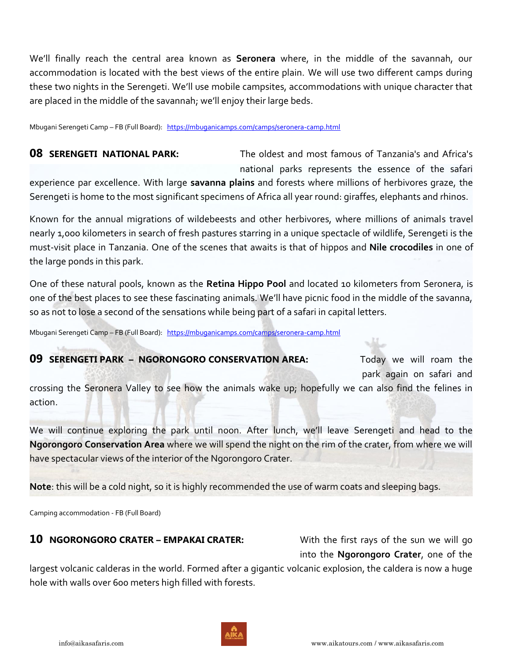We'll finally reach the central area known as **Seronera** where, in the middle of the savannah, our accommodation is located with the best views of the entire plain. We will use two different camps during these two nights in the Serengeti. We'll use mobile campsites, accommodations with unique character that are placed in the middle of the savannah; we'll enjoy their large beds.

Mbugani Serengeti Camp – FB (Full Board): <https://mbuganicamps.com/camps/seronera-camp.html>

**08 SERENGETI NATIONAL PARK:** The oldest and most famous of Tanzania's and Africa's national parks represents the essence of the safari

experience par excellence. With large **savanna plains** and forests where millions of herbivores graze, the Serengeti is home to the most significant specimens of Africa all year round: giraffes, elephants and rhinos.

Known for the annual migrations of wildebeests and other herbivores, where millions of animals travel nearly 1,000 kilometers in search of fresh pastures starring in a unique spectacle of wildlife, Serengeti is the must-visit place in Tanzania. One of the scenes that awaits is that of hippos and **Nile crocodiles** in one of the large ponds in this park.

One of these natural pools, known as the **Retina Hippo Pool** and located 10 kilometers from Seronera, is one of the best places to see these fascinating animals. We'll have picnic food in the middle of the savanna, so as not to lose a second of the sensations while being part of a safari in capital letters.

Mbugani Serengeti Camp – FB (Full Board): <https://mbuganicamps.com/camps/seronera-camp.html>

### **09 SERENGETI PARK – NGORONGORO CONSERVATION AREA:** Today we will roam the

park again on safari and

crossing the Seronera Valley to see how the animals wake up; hopefully we can also find the felines in action.

We will continue exploring the park until noon. After lunch, we'll leave Serengeti and head to the **Ngorongoro Conservation Area** where we will spend the night on the rim of the crater, from where we will have spectacular views of the interior of the Ngorongoro Crater.

**Note**: this will be a cold night, so it is highly recommended the use of warm coats and sleeping bags.

Camping accommodation - FB (Full Board)

### **10 NGORONGORO CRATER – EMPAKAI CRATER:** With the first rays of the sun we will go

into the **Ngorongoro Crater**, one of the

largest volcanic calderas in the world. Formed after a gigantic volcanic explosion, the caldera is now a huge hole with walls over 600 meters high filled with forests.

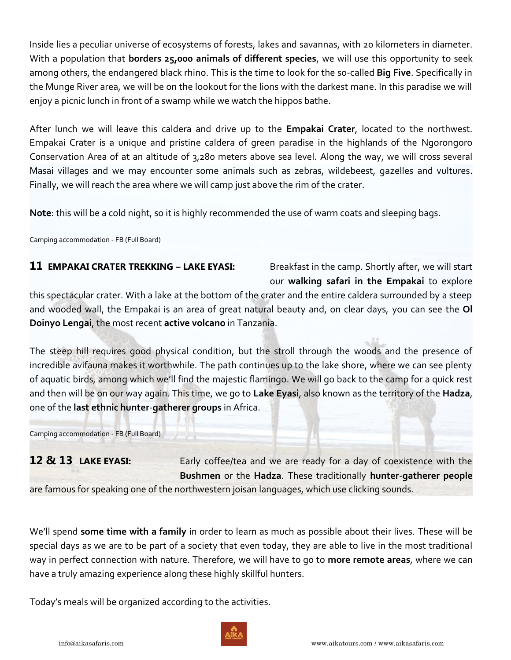Inside lies a peculiar universe of ecosystems of forests, lakes and savannas, with 20 kilometers in diameter. With a population that **borders 25,000 animals of different species**, we will use this opportunity to seek among others, the endangered black rhino. This is the time to look for the so-called **Big Five**. Specifically in the Munge River area, we will be on the lookout for the lions with the darkest mane. In this paradise we will enjoy a picnic lunch in front of a swamp while we watch the hippos bathe.

After lunch we will leave this caldera and drive up to the **Empakai Crater**, located to the northwest. Empakai Crater is a unique and pristine caldera of green paradise in the highlands of the Ngorongoro Conservation Area of at an altitude of 3,280 meters above sea level. Along the way, we will cross several Masai villages and we may encounter some animals such as zebras, wildebeest, gazelles and vultures. Finally, we will reach the area where we will camp just above the rim of the crater.

**Note**: this will be a cold night, so it is highly recommended the use of warm coats and sleeping bags.

Camping accommodation - FB (Full Board)

### **11 EMPAKAI CRATER TREKKING – LAKE EYASI:** Breakfast in the camp. Shortly after, we will start

our **walking safari in the Empakai** to explore

this spectacular crater. With a lake at the bottom of the crater and the entire caldera surrounded by a steep and wooded wall, the Empakai is an area of great natural beauty and, on clear days, you can see the **Ol Doinyo Lengai**, the most recent **active volcano** in Tanzania.

The steep hill requires good physical condition, but the stroll through the woods and the presence of incredible avifauna makes it worthwhile. The path continues up to the lake shore, where we can see plenty of aquatic birds, among which we'll find the majestic flamingo. We will go back to the camp for a quick rest and then will be on our way again. This time, we go to **Lake Eyasi**, also known as the territory of the **Hadza**, one of the **last ethnic hunter**-**gatherer groups** in Africa.

Camping accommodation - FB (Full Board)

12 & 13 **LAKE EYASI:** Early coffee/tea and we are ready for a day of coexistence with the **Bushmen** or the **Hadza**. These traditionally **hunter**-**gatherer people**

are famous for speaking one of the northwestern joisan languages, which use clicking sounds.

We'll spend **some time with a family** in order to learn as much as possible about their lives. These will be special days as we are to be part of a society that even today, they are able to live in the most traditional way in perfect connection with nature. Therefore, we will have to go to **more remote areas**, where we can have a truly amazing experience along these highly skillful hunters.

Today's meals will be organized according to the activities.

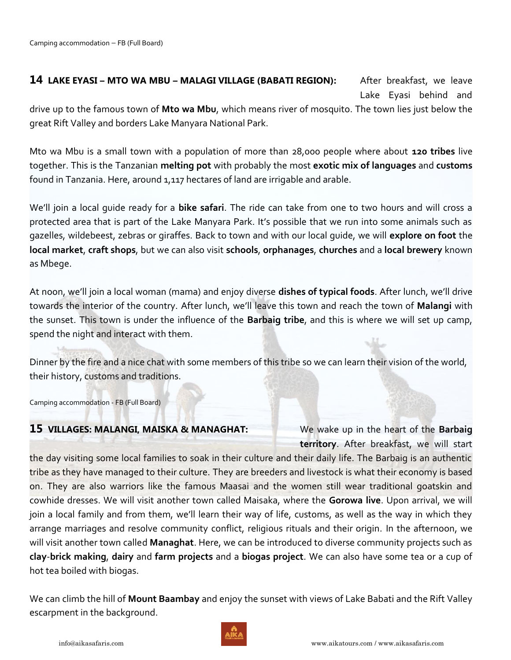**14** LAKE EYASI – MTO WA MBU – MALAGI VILLAGE (BABATI REGION): After breakfast, we leave Lake Eyasi behind and

drive up to the famous town of **Mto wa Mbu**, which means river of mosquito. The town lies just below the great Rift Valley and borders Lake Manyara National Park.

Mto wa Mbu is a small town with a population of more than 28,000 people where about **120 tribes** live together. This is the Tanzanian **melting pot** with probably the most **exotic mix of languages** and **customs** found in Tanzania. Here, around 1,117 hectares of land are irrigable and arable.

We'll join a local guide ready for a **bike safari**. The ride can take from one to two hours and will cross a protected area that is part of the Lake Manyara Park. It's possible that we run into some animals such as gazelles, wildebeest, zebras or giraffes. Back to town and with our local guide, we will **explore on foot** the **local market**, **craft shops**, but we can also visit **schools**, **orphanages**, **churches** and a **local brewery** known as Mbege.

At noon, we'll join a local woman (mama) and enjoy diverse **dishes of typical foods**. After lunch, we'll drive towards the interior of the country. After lunch, we'll leave this town and reach the town of **Malangi** with the sunset. This town is under the influence of the **Barbaig tribe**, and this is where we will set up camp, spend the night and interact with them.

Dinner by the fire and a nice chat with some members of this tribe so we can learn their vision of the world, their history, customs and traditions.

Camping accommodation - FB (Full Board)

### **15 VILLAGES: MALANGI, MAISKA & MANAGHAT:** We wake up in the heart of the **Barbaig**

**territory**. After breakfast, we will start

the day visiting some local families to soak in their culture and their daily life. The Barbaig is an authentic tribe as they have managed to their culture. They are breeders and livestock is what their economy is based on. They are also warriors like the famous Maasai and the women still wear traditional goatskin and cowhide dresses. We will visit another town called Maisaka, where the **Gorowa live**. Upon arrival, we will join a local family and from them, we'll learn their way of life, customs, as well as the way in which they arrange marriages and resolve community conflict, religious rituals and their origin. In the afternoon, we will visit another town called **Managhat**. Here, we can be introduced to diverse community projects such as **clay**-**brick making**, **dairy** and **farm projects** and a **biogas project**. We can also have some tea or a cup of hot tea boiled with biogas.

We can climb the hill of **Mount Baambay** and enjoy the sunset with views of Lake Babati and the Rift Valley escarpment in the background.

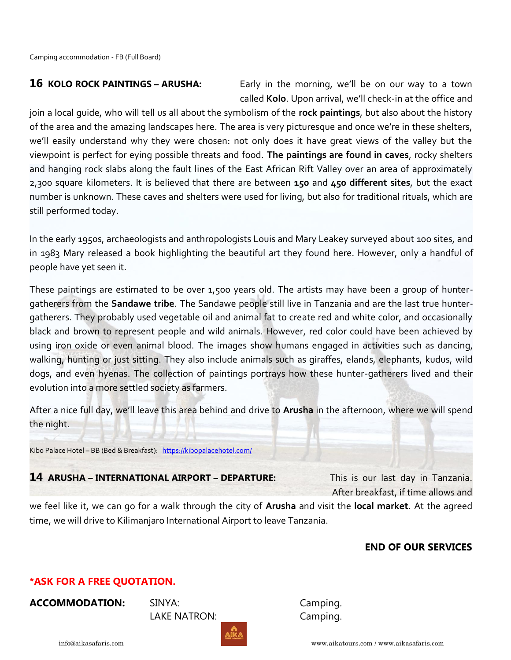**16** KOLO ROCK PAINTINGS – ARUSHA: Early in the morning, we'll be on our way to a town called **Kolo**. Upon arrival, we'll check-in at the office and

join a local guide, who will tell us all about the symbolism of the **rock paintings**, but also about the history of the area and the amazing landscapes here. The area is very picturesque and once we're in these shelters, we'll easily understand why they were chosen: not only does it have great views of the valley but the viewpoint is perfect for eying possible threats and food. **The paintings are found in caves**, rocky shelters and hanging rock slabs along the fault lines of the East African Rift Valley over an area of approximately 2,300 square kilometers. It is believed that there are between **150** and **450 different sites**, but the exact number is unknown. These caves and shelters were used for living, but also for traditional rituals, which are still performed today.

In the early 1950s, archaeologists and anthropologists Louis and Mary Leakey surveyed about 100 sites, and in 1983 Mary released a book highlighting the beautiful art they found here. However, only a handful of people have yet seen it.

These paintings are estimated to be over 1,500 years old. The artists may have been a group of huntergatherers from the **Sandawe tribe**. The Sandawe people still live in Tanzania and are the last true huntergatherers. They probably used vegetable oil and animal fat to create red and white color, and occasionally black and brown to represent people and wild animals. However, red color could have been achieved by using iron oxide or even animal blood. The images show humans engaged in activities such as dancing, walking, hunting or just sitting. They also include animals such as giraffes, elands, elephants, kudus, wild dogs, and even hyenas. The collection of paintings portrays how these hunter-gatherers lived and their evolution into a more settled society as farmers.

After a nice full day, we'll leave this area behind and drive to **Arusha** in the afternoon, where we will spend the night.

Kibo Palace Hotel – BB (Bed & Breakfast): <https://kibopalacehotel.com/>

### **14 ARUSHA – INTERNATIONAL AIRPORT – DEPARTURE:** This is our last day in Tanzania.

After breakfast, if time allows and

we feel like it, we can go for a walk through the city of **Arusha** and visit the **local market**. At the agreed time, we will drive to Kilimanjaro International Airport to leave Tanzania.

### **END OF OUR SERVICES**

### **\*ASK FOR A FREE QUOTATION.**

**ACCOMMODATION:** SINYA: Camping.

LAKE NATRON: Camping.

info@aikasafaris.com www.aikatours.com / www.aikasafaris.com